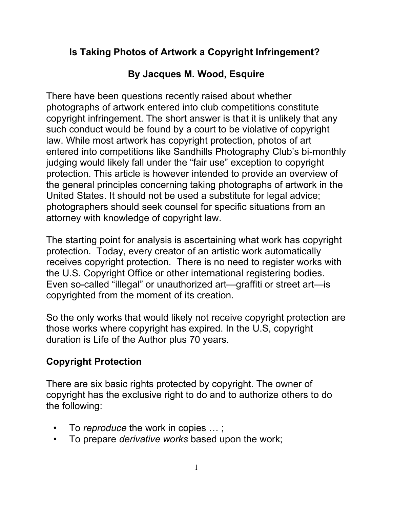## Is Taking Photos of Artwork a Copyright Infringement?

# By Jacques M. Wood, Esquire

There have been questions recently raised about whether photographs of artwork entered into club competitions constitute copyright infringement. The short answer is that it is unlikely that any such conduct would be found by a court to be violative of copyright law. While most artwork has copyright protection, photos of art entered into competitions like Sandhills Photography Club's bi-monthly judging would likely fall under the "fair use" exception to copyright protection. This article is however intended to provide an overview of the general principles concerning taking photographs of artwork in the United States. It should not be used a substitute for legal advice; photographers should seek counsel for specific situations from an attorney with knowledge of copyright law.

The starting point for analysis is ascertaining what work has copyright protection. Today, every creator of an artistic work automatically receives copyright protection. There is no need to register works with the U.S. Copyright Office or other international registering bodies. Even so-called "illegal" or unauthorized art—graffiti or street art—is copyrighted from the moment of its creation.

So the only works that would likely not receive copyright protection are those works where copyright has expired. In the U.S, copyright duration is Life of the Author plus 70 years.

# Copyright Protection

There are six basic rights protected by copyright. The owner of copyright has the exclusive right to do and to authorize others to do the following:

- To reproduce the work in copies ...;
- To prepare *derivative works* based upon the work;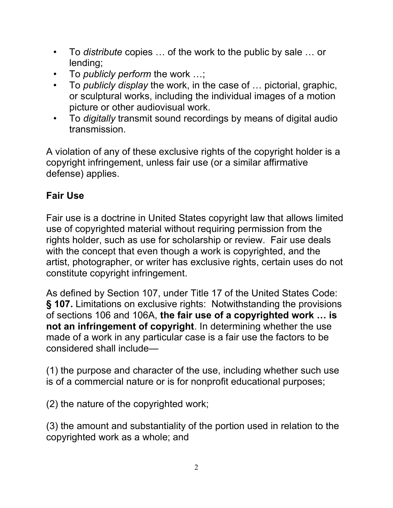- To distribute copies ... of the work to the public by sale ... or lending;
- To *publicly perform* the work ...:
- To *publicly display* the work, in the case of ... pictorial, graphic, or sculptural works, including the individual images of a motion picture or other audiovisual work.
- To digitally transmit sound recordings by means of digital audio transmission.

A violation of any of these exclusive rights of the copyright holder is a copyright infringement, unless fair use (or a similar affirmative defense) applies.

## Fair Use

Fair use is a doctrine in United States copyright law that allows limited use of copyrighted material without requiring permission from the rights holder, such as use for scholarship or review. Fair use deals with the concept that even though a work is copyrighted, and the artist, photographer, or writer has exclusive rights, certain uses do not constitute copyright infringement.

As defined by Section 107, under Title 17 of the United States Code: § 107. Limitations on exclusive rights: Notwithstanding the provisions of sections 106 and 106A, the fair use of a copyrighted work … is not an infringement of copyright. In determining whether the use made of a work in any particular case is a fair use the factors to be considered shall include—

(1) the purpose and character of the use, including whether such use is of a commercial nature or is for nonprofit educational purposes;

(2) the nature of the copyrighted work;

(3) the amount and substantiality of the portion used in relation to the copyrighted work as a whole; and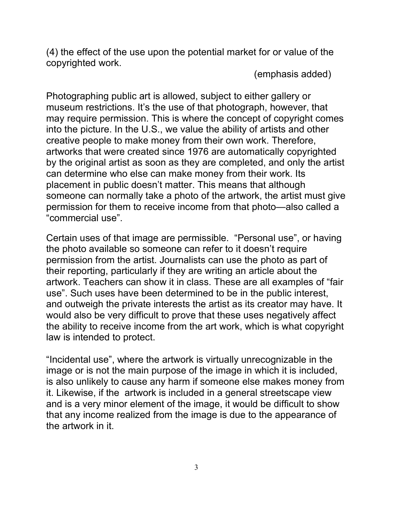(4) the effect of the use upon the potential market for or value of the copyrighted work.

(emphasis added)

Photographing public art is allowed, subject to either gallery or museum restrictions. It's the use of that photograph, however, that may require permission. This is where the concept of copyright comes into the picture. In the U.S., we value the ability of artists and other creative people to make money from their own work. Therefore, artworks that were created since 1976 are automatically copyrighted by the original artist as soon as they are completed, and only the artist can determine who else can make money from their work. Its placement in public doesn't matter. This means that although someone can normally take a photo of the artwork, the artist must give permission for them to receive income from that photo—also called a "commercial use".

Certain uses of that image are permissible. "Personal use", or having the photo available so someone can refer to it doesn't require permission from the artist. Journalists can use the photo as part of their reporting, particularly if they are writing an article about the artwork. Teachers can show it in class. These are all examples of "fair use". Such uses have been determined to be in the public interest, and outweigh the private interests the artist as its creator may have. It would also be very difficult to prove that these uses negatively affect the ability to receive income from the art work, which is what copyright law is intended to protect.

"Incidental use", where the artwork is virtually unrecognizable in the image or is not the main purpose of the image in which it is included, is also unlikely to cause any harm if someone else makes money from it. Likewise, if the artwork is included in a general streetscape view and is a very minor element of the image, it would be difficult to show that any income realized from the image is due to the appearance of the artwork in it.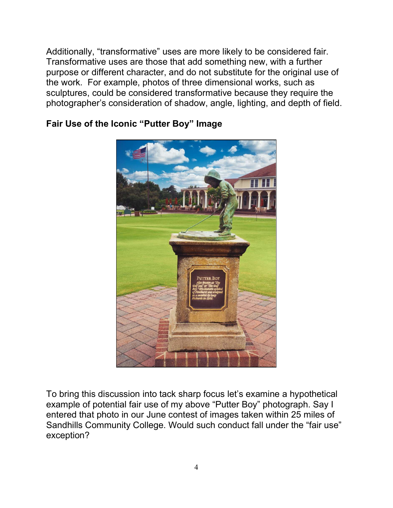Additionally, "transformative" uses are more likely to be considered fair. Transformative uses are those that add something new, with a further purpose or different character, and do not substitute for the original use of the work. For example, photos of three dimensional works, such as sculptures, could be considered transformative because they require the photographer's consideration of shadow, angle, lighting, and depth of field.



#### Fair Use of the Iconic "Putter Boy" Image

To bring this discussion into tack sharp focus let's examine a hypothetical example of potential fair use of my above "Putter Boy" photograph. Say I entered that photo in our June contest of images taken within 25 miles of Sandhills Community College. Would such conduct fall under the "fair use" exception?